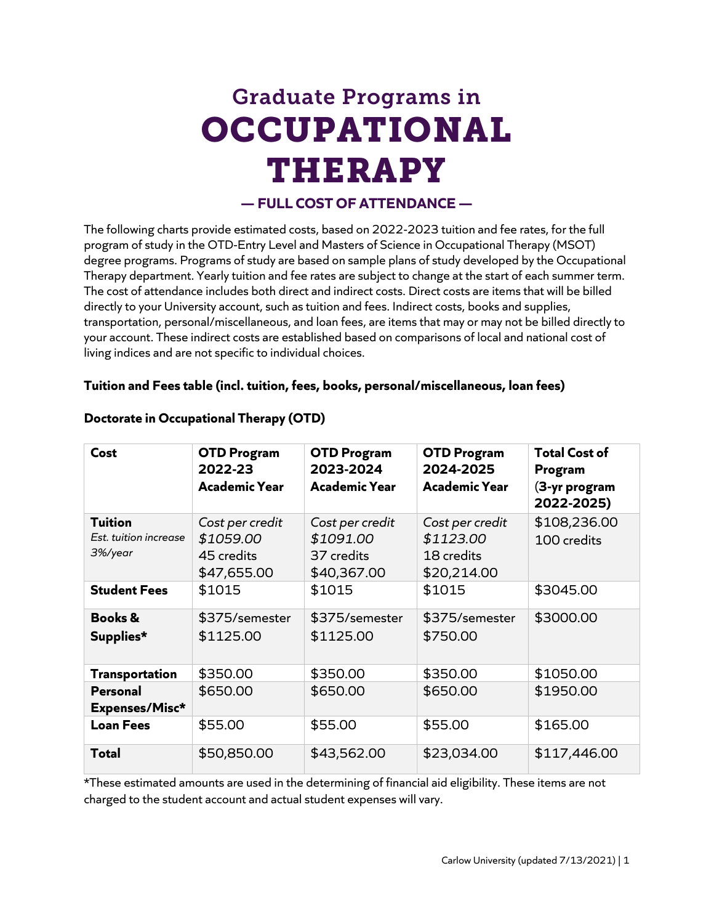# Graduate Programs in **OCCUPATIONAL** THERAPY

## **— FULL COST OF ATTENDANCE —**

The following charts provide estimated costs, based on 2022-2023 tuition and fee rates, for the full program of study in the OTD-Entry Level and Masters of Science in Occupational Therapy (MSOT) degree programs. Programs of study are based on sample plans of study developed by the Occupational Therapy department. Yearly tuition and fee rates are subject to change at the start of each summer term. The cost of attendance includes both direct and indirect costs. Direct costs are items that will be billed directly to your University account, such as tuition and fees. Indirect costs, books and supplies, transportation, personal/miscellaneous, and loan fees, are items that may or may not be billed directly to your account. These indirect costs are established based on comparisons of local and national cost of living indices and are not specific to individual choices.

#### **Tuition and Fees table (incl. tuition, fees, books, personal/miscellaneous, loan fees)**

| Cost                                               | <b>OTD Program</b><br>2022-23<br><b>Academic Year</b>     | <b>OTD Program</b><br>2023-2024<br><b>Academic Year</b>   | <b>OTD Program</b><br>2024-2025<br><b>Academic Year</b>   | <b>Total Cost of</b><br>Program<br>(3-yr program<br>2022-2025) |
|----------------------------------------------------|-----------------------------------------------------------|-----------------------------------------------------------|-----------------------------------------------------------|----------------------------------------------------------------|
| <b>Tuition</b><br>Est. tuition increase<br>3%/year | Cost per credit<br>\$1059.00<br>45 credits<br>\$47,655.00 | Cost per credit<br>\$1091.00<br>37 credits<br>\$40,367.00 | Cost per credit<br>\$1123.00<br>18 credits<br>\$20,214.00 | \$108,236.00<br>100 credits                                    |
| <b>Student Fees</b>                                | \$1015                                                    | \$1015                                                    | \$1015                                                    | \$3045.00                                                      |
| <b>Books &amp;</b><br>Supplies*                    | \$375/semester<br>\$1125.00                               | \$375/semester<br>\$1125.00                               | \$375/semester<br>\$750.00                                | \$3000.00                                                      |
| <b>Transportation</b>                              | \$350.00                                                  | \$350.00                                                  | \$350.00                                                  | \$1050.00                                                      |
| Personal<br>Expenses/Misc*                         | \$650.00                                                  | \$650.00                                                  | \$650.00                                                  | \$1950.00                                                      |
| <b>Loan Fees</b>                                   | \$55.00                                                   | \$55.00                                                   | \$55.00                                                   | \$165.00                                                       |
| <b>Total</b>                                       | \$50,850.00                                               | \$43,562.00                                               | \$23,034.00                                               | \$117,446.00                                                   |

### **Doctorate in Occupational Therapy (OTD)**

\*These estimated amounts are used in the determining of financial aid eligibility. These items are not charged to the student account and actual student expenses will vary.